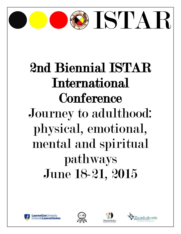

# 2nd Biennial ISTAR International **Conference** Journey to adulthood: physical, emotional, mental and spiritual pathways June 18-21, 2015









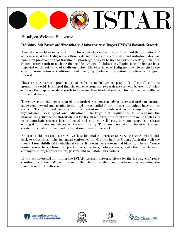

# Biindigen Welcome Bienvenue

# Individual Self Esteem and Transition to Adolescence with Respect [ISTAR] Research Network

Around the world societies vary in the formality of practices to signify and aid the transitions of adolescence. Where Indigenous culture is strong, various forms of traditional initiation rites may have been preserved in that traditional knowledge, and can be used to assist in creating a map for contemporary youth to navigate the troubled waters of adolescence. Rapid societal changes have impacted on the relevance of traditional rites. The experience of Indigenous people caught in the confrontation between traditional and emerging adolescent transition practices is of great interest.

However, the research problem is not exclusive to Indigenous people. It affects all cultures around the world. It is hoped that the outcome from this research network can be used to further enhance the map for modern youth to navigate these troubled waters. This is an acute challenge in the 21st century.

The entry point into conception of this project was concerns about increased problems around adolescents' sexual and mental health and the potential future impact this might have on our society. Trying to influence children's transition to adulthood is a complex medical, psychological, sociological and educational challenge that requires us to understand the pedagogical principles of transition and (to use an old term) initiation rites for young adolescent to communicate abstract ideas of social and physical well-being to young people not always equipped to understand abstracted future thinking. Thus, we have taken a holistic view and created this multi-professional, international research network.

As part of this research network, we host biennial conferences on varying themes which link back to transitions. The inaugural conference in 2013 was held in Cairns, Australia with the theme: From childhood to adulthood with self-esteem, body-esteem and identity. The conference united researchers, clinicians, practitioners, teachers, policy makers, and other health sector employees through presentations, posters, and roundtable discussions.

If you are interested in joining the ISTAR research network, please let the hosting conference coordinators know. We will be more than happy to share more information regarding the research network with you.







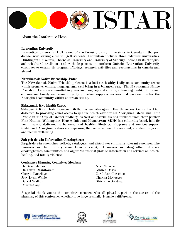

About the Conference Hosts

# Laurentian University

Laurentian University [LU] is one of the fastest growing universities in Canada in the past decade, now serving close to 9,500 students. Laurentian includes three federated universities: Huntington University, Thorneloe University and University of Sudbury. Strong in its bilingual and tricultural traditions and with deep roots in northern Ontario, Laurentian University continues to expand its program offerings, research activities and partnerships in Canada and abroad.

### N'Swakamok Native Friendship Centre

The N'Swakamok Native Friendship Centre is a holistic, healthy Indigenous community centre which promotes culture, language and well-being in a balanced way. The N'Swakamok Native Friendship Centre is committed to preserving language and culture, enhancing quality of life and empowering family and community by providing supports, services and partnerships for the Aboriginal community within an urban setting.

#### Shkagamik-Kwe Health Centre

Shkagamik-Kwe Health Centre [SKHC] is an Aboriginal Health Access Centre [AHAC] dedicated to providing equal access to quality health care for all Aboriginal, Métis and Inuit People in the City of Greater Sudbury, as well as individuals and families from their partner First Nations; Wahnapitae, Henvey Inlet and Magnetawan. SKHC is a culturally based, holistic health centre dedicated to balanced and healthy lifestyles. Programs and services support traditional Aboriginal values encompassing the connectedness of emotional, spiritual, physical and mental well-being.

### Zah-geh-do-win Information Clearinghouse

Za-geh-do-win researches, collects, catalogues, and distributes culturally relevant resources. The resources in their library come from a variety of sources including other libraries, clearinghouses, communities, and organizations that provide information and services on health, healing, and family violence.

### Conference Planning Committee Members

Dr. Susan James Niki Naponse Dr. Darrel Manitowabi **Andrea Dokis** Cheryle Partridge Carol Ann Cheechoo Joey-Lynn Wabie Theresa McGregor Darryl Walker Ghislaine Goudreau Roberta Sago

A special thank you to the committee members who all played a part in the success of the planning of this conference whether it be large or small. It made a difference.







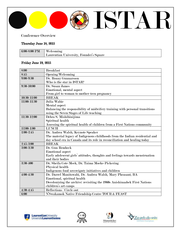

# Conference Overview

# Thursday June 18, 2015

| $6:00-8:00$ PM | Welcoming                               |
|----------------|-----------------------------------------|
|                | Laurentian University, Founder's Square |

# Friday June 19, 2015

| 8:00           | <b>Breakfast</b>                                                              |
|----------------|-------------------------------------------------------------------------------|
| 8:45           | Opening/Welcoming                                                             |
| $9:00 - 9:30$  | Dr. Ronny Gunnarsson                                                          |
|                | Who is the star in ISTAR?                                                     |
| $9:30 - 10:00$ | Dr. Susan James                                                               |
|                | Emotional, mental aspect                                                      |
|                | From girl to woman to mother-teen pregnancy                                   |
| 10:30-11:00    | <b>BREAK</b>                                                                  |
| 11:00-11:30    | Julia Wabie                                                                   |
|                | Mental aspect                                                                 |
|                | Balancing the responsibility of midwifery training with personal transitions  |
|                | using the Seven Stages of Life teaching                                       |
| 11:30-12:00    | Debra S. Mishibinijima                                                        |
|                | Spiritual health                                                              |
|                | Assessing the spiritual health of children from a First Nations community     |
| 12:00-1:00     | <b>LUNCH</b>                                                                  |
| $1:00 - 2:45$  | Dr. Andrea Walsh, Keynote Speaker                                             |
|                | The material legacy of Indigenous childhoods from the Indian residential and  |
|                | day school era in Canada and its role in reconciliation and healing today     |
| $2:45-3:00$    | <b>BREAK</b>                                                                  |
| 3:00-3:30      | Dr. Gun Rembeck                                                               |
|                | <b>Emotional</b> aspect                                                       |
|                | Early adolescent girls' attitudes, thoughts and feelings towards menstruation |
|                | and their bodies                                                              |
| 3:30-400       | Dr. Sheila Cote-Meek, Dr. Taima Moeke-Pickering                               |
|                | Physical health                                                               |
|                | Indigenous food sovereignty initiatives and children                          |
| $4:00 - 4:30$  | Dr. Darrel Manitowabi, Dr. Andrea Walsh, Mary Pheasant, BA                    |
|                | Emotional, spiritual health                                                   |
|                | Decolonizing the archive: revisiting the 1960s Anishinaabek First Nations     |
|                | children's art camps                                                          |
| $4:30 - 4:45$  | Reflections / Circle out                                                      |
| 6:00           | N'Swakamok Native Friendship Centre TOUR & FEAST                              |







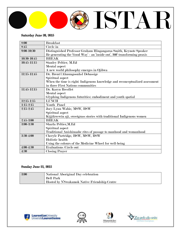

# Saturday June 20, 2015

| 8:00           | <b>Breakfast</b>                                                             |
|----------------|------------------------------------------------------------------------------|
| 8:45           | Circle in                                                                    |
| $9:00 - 10:30$ | Distinguished Professor Graham Hingangaroa Smith, Keynote Speaker            |
|                | Re-generating the 'Good Way' - an 'inside out', 360' transforming praxis     |
| 10:30-10:45    | <b>BREAK</b>                                                                 |
| 10:45-11:15    | <b>Stanley Peltier, M.Ed</b>                                                 |
|                | Mental aspect                                                                |
|                | A new world philosophy emerges in Ojibwa                                     |
| 11:15-11:45    | Dr. Brent [Ahnungoonhs] Debassige                                            |
|                | Spiritual aspect                                                             |
|                | When the time is right: Indigenous knowledge and reconceptualized assessment |
|                | in three First Nations communities                                           |
| 11:45-12:15    | Dr. Karyn Recollet                                                           |
|                | Mental aspect                                                                |
|                | Glyphing Indigenous futurities: embodiment and youth spatial                 |
| $12:15 - 1:15$ | <b>LUNCH</b>                                                                 |
| $1:15 - 2:15$  | Youth Panel                                                                  |
| $2:15-2:45$    | Joey-Lynn Wabie, MSW, RSW                                                    |
|                | Spiritual aspect                                                             |
|                | Kijjikwewin aji, sweetgrass stories with traditional Indigenous women        |
| $2:45-3:00$    | <b>BREAK</b>                                                                 |
| 3:00-3:30      | Sharla Peltier, M. Ed                                                        |
|                | Spiritual aspect                                                             |
|                | Traditional Anishinaabe rites of passage to manhood and womanhood            |
| 3:30-4:00      | Cheryle Partridge, BSW, MSW, RSW                                             |
|                | Holistic health                                                              |
|                | Using the colours of the Medicine Wheel for well-being                       |
| $4:00 - 4:30$  | <b>Evaluations Circle out</b>                                                |
| 4:30           | <b>Closing Prayer</b>                                                        |

# Sunday June 21, 2015

| 3:00 | National Aboriginal Day celebration                        |
|------|------------------------------------------------------------|
|      | <b>Bell Park</b>                                           |
|      | Hosted by N <sup>'</sup> Swakamok Native Friendship Centre |







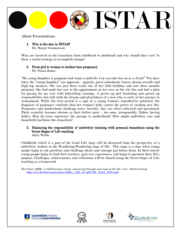

About Presentations

1. Who is the star in ISTAR?

Dr. Ronny Gunnarsson

Who are involved in the transition from childhood to adulthood and why should they care? Is there a useful strategy to accomplish change?

#### 2. From girl to woman to mother-teen pregnancy Dr. Susan James

"My young daughter is pregnant and wants a midwife. Can you take her on as a client?" Two days later, the "young daughter" was apparent – pigtails, green orthodontic braces, denim overalls and high top sneakers. She was just three weeks shy of her 15th birthday and now three months pregnant. She had made her way to the appointment on her own on the city bus and had a plan for paying for my care with babysitting earnings. A grown up girl launching into grown up responsibilities but still with the dreams and playfulness of a teen who is early in her journey to womanhood. While the first period is a sign of a young woman's reproductive potential, the diagnosis of pregnancy confirms that her woman's body carries the power of creating new life. Pregnancy and motherhood challenge teens. Socially, they are often criticized and questioned. Their sexuality becomes obvious as their bellies grow – too soon, irresponsibly. Babies having babies. How do teens experience the passage to motherhood? How might midwifery care and homebirth facilitate this transition?

#### 3. Balancing the responsibility of midwifery training with personal transitions using the Seven Stages of Life teaching Julia Wabie

Childbirth which is a part of the Good Life stage will be discussed from the perspective of a midwifery student in the Wandering/Wondering stage of life. This stage is a time when young people begin to ask questions and challenge ideals and concepts put before them. In their travels young people begin to find their teachers, gain new experiences, and begin to question their life's purpose. Challenges, achievements, and reflections will be shared using the Seven Stages of Life teaching as a framework.

Best Start. (2010). A child becomes strong: journeying through each stage of the life cycle. Retrieved from [http://www.beststart.org/resources/hlthy\\_chld\\_dev/pdf/CBS\\_Final\\_K12A.pdf](http://www.beststart.org/resources/hlthy_chld_dev/pdf/CBS_Final_K12A.pdf)







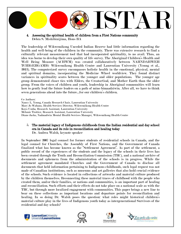

# 4. Assessing the spiritual health of children from a First Nations community Debra S. Mishibinijima, Hons BA

The leadership of Wikwemikong Unceded Indian Reserve had little information regarding the health and well-being of the children in the community. There was extensive research to find a culturally relevant measurement tool that had incorporated spirituality, to no avail. Thus, an idea was borne to develop their own quality of life survey. The Aboriginal Children's Health and Well Being Measure (ACHWM) was created collaboratively between NAHNDAHWEH TCHIGEHGAMIG Wikwemikong Health Centre and Laurentian University (Young et al., 2013). The computerized survey encompasses holistic health in the emotional, physical, mental and spiritual domains, incorporating the Medicine Wheel worldview. They found distinct variances in spirituality scores between the younger and older populations. The younger age group demonstrated closer ties with Elders, the Creator/God, and Mother Earth than the older group. From the voices of children and youth, leadership in Aboriginal communities will learn how to gently lead the future leaders on a path of mino bimaadziwin. After all, we have to think seven generations ahead into the future…for our children's children.

Co-Authors:

Nancy L. Young, Canada Research Chair, Laurentian University Mary Jo Wabano, Health Services Director, Wikwemikong Health Centre Koyo Usuba, Research Assistant, Laurentian University Mélanie Trottier, Research Assistant, Laurentian University Diane Jacko, Nadmadwin Mental Health Services Manager, Wikwemikong Health Centre

# 5. The material legacy of Indigenous childhoods from the Indian residential and day school era in Canada and its role in reconciliation and healing today

Dr. Andrea Walsh, keynote speaker

In September 2007 legal counsel for former students of residential schools in Canada, and the legal counsel for Churches, the Assembly of First Nations, and the Government of Canada finalized what has become known as the "Settlement Agreement". As part of the settlement, a public record of the experiences of the students and the legacy of the schools in their lives has been created through the Truth and Reconciliation Commission (TRC), and a national archive of documents and ephemera from the administration of the schools is in progress. While the settlement agreement mandated Churches and the Government of Canada to disclose all documents that held information pertaining to Indigenous childhoods, such legal request was not made of Canadian institutions, such as museums and art galleries that also hold crucial evidence of the schools. Such evidence is located in collections of artworks and material culture produced by the children themselves. Reconnecting these material traces of childhood with the people who created them, and/or their families, or nations and communities, is an important part of healing and reconciliation. Such efforts and their effects do not take place on a national scale as with the TRC, but through more localized engagement with communities. This paper brings a new line to bear on these collections as important locations and departure points for reconciliation and healing. In so doing Dr. Walsh poses the question: what roles might historical children's material culture play in the lives of Indigenous youth today as intergenerational Survivors of the residential and day schools?







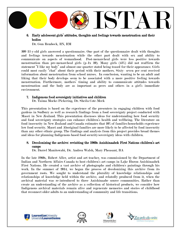# ISTAR

# 6. Early adolescent girls' attitudes, thoughts and feelings towards menstruation and their bodies

Dr. Gun Rembeck, RN, RM

309 12-y-old girls answered a questionnaire. One part of the questionnaire dealt with thoughts and feelings towards menstruation while the other part dealt with sex and ability to communicate on aspects of womanhood. Post-menarcheal girls were less positive towards menstruation than pre-menarcheal girls ( $p=1x$  10). Many girls (43%) did not reaffirm the statement "I like my body" and almost one quarter stated being teased for their appearance. Girls could most easily "chat" about their period with their mothers. Sixty- seven per cent received information about menstruation from school nurses. In conclusion, wanting to be an adult and liking that their body develops seem to be associated with a more positive feeling towards menstruation. Furthermore, mothers' timing and ability to communicate attitudes towards menstruation and the body are as important as peers and others in a girl's immediate environment.

# 7. Indigenous food sovereignty initiatives and children

Dr. Taima Moeke-Pickering, Dr. Sheila Cote-Meek

This presentation is based on the experience of the presenters in engaging children with food gardens in Sudbury as well as research findings from a food sovereignty project conducted with Maori in New Zealand. This presentation discusses ideas for understanding how food security and food sovereignty strategies can enhance children's health and wellbeing. The literature on food insecurity in New Zealand and Canada estimates that 10% of families/households experience low food security. Maori and Aboriginal families are more likely to be affected by food insecurity than any other ethnic group. The findings and analysis from this project provides broad themes and ideas for planning Indigenous based food security/sovereignty ideas with children.

# 8. Decolonizing the archive: revisiting the 1960s Anishinaabek First Nations children's art camps

Dr. Darrel Manitowabi, Dr. Andrea Walsh, Mary Pheasant, BA

In the late 1960s, Robert Aller, artist and art teacher, was commissioned by the Department of Indian and Northern Affairs Canada to host children's art camps in Lake Huron Anishinaabek First Nations. He created a vast archive of photographs and children's paintings through his work. In the summer of 2014, we began the process of decolonizing this archive from its government roots. We sought to understand the plurality of knowledge relationships and relationships of knowledge held within the archive, and relatedly produced from it, when the archival material was re-introduced to three Anishinaabe source communities. Rather than create an understanding of the archive as a collection of historical products, we consider how Indigenous archival materials remain alive and regenerate memories and stories of childhood that reconnect older adults to an understanding of community and life transitions.







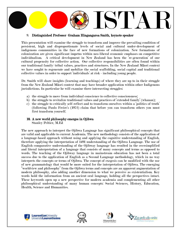# ISTAR

### 9. Distinguished Professor Graham Hingangaroa Smith , keynote speaker

This presentation will examine the struggle to transform and improve the prevailing condition of persistent, high and disproportionate levels of social and cultural under-development of indigenous communities in the face of new formations of colonization. New formations of colonization are given significant impetus within neo-liberal economic emphases on competitive individualism. A critical development in New Zealand has been the 're-generation' of our cultural propensity for collective action. Our collective responsibilities are often found within our traditional family/ tribal values, practices and structures. In the New Zealand Māori context we have sought to regenerate and mobilize the social scaffolding, social capital and traditional collective values in order to support 'individuals' at risk - including young people.

Dr. Smith will share insights (learning and teachings) of where they are up to in their struggle from the New Zealand Māori context that may have broader application within other Indigenous jurisdictions. In particular he will examine three intersecting struggles:

- a) the struggle to move from individual conscience to collective consciousness;
- b) the struggle to revitalize traditional values and practices of 'extended family' (whanau);
- c) the struggle to critically self-reflect and to transform ourselves within a 'politics of truth' (following Paulo Freire's (1972) claim that before you can transform others you must first transform yourself.

# 10. A new world philosophy emerges in Ojibwa

Stanley Peltier, M.Ed

The new approach to interpret the Ojibwa Language has significant philosophical concepts that are valid and applicable to current Academia. The new methodology consists of the application of a language-based approach without using and applying the cognitive understanding of English, therefore applying the interpretation of 1491 understanding of the Ojibwa Language. The use of English comparative understanding of the Ojibway language has resulted in the oversimplified and literal interpretation of a language that consists of many concepts and terms as opposed to words. The teaching of the Ojibway language in mainstream education has not been a total success due to the application of English as a Second Language methodology, which in no way interprets the concepts or terms of Ojibwa. The concept of exegesis can be modified with the use of new grammatology that would be more suited for the interpretation of Ojibwa. The emerging "worldview and philosophy" from the Ojibwa terms and concepts are an apparent augmentation of modern philosophy, also adding another dimension to what we perceive as existentialism. Key words hold the information from an ancient oral language, holding all the perspectives intact. These keywords open up a new perspective for modern academia and complementing all other philosophical understanding of many human concepts: Social Sciences, History, Education, Health, Science and Humanities.







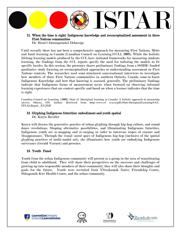

# 11. When the time is right: Indigenous knowledge and reconceptualized asses sment in three First Nations communities

Dr. Brent [Ahnungoonhs] Debassige

Until recently there has not been a comprehensive approach for measuring First Nations, Métis and Inuit learning in Canada (Canadian Council on Learning [CCL], 2009). While the holistic lifelong learning models produced by the CCL have initiated frameworks for measuring students learning, the findings from the CCL reports specify the need for tailoring the models to fit specific locales. In this session, the presenter shares preliminary findings from a SSHRC-funded qualitative study focusing on reconceptualized approaches to understanding assessment in First Nations contexts. The researcher used semi-structured conversational interviews to investigate how members of three First Nations communities in southern Ontario, Canada come-to-know Indigenous Knowledge and how that knowing is assessed, generally. The preliminary findings indicate that Indigenous forms of measurement occur when focussed on observing informal learning experiences that are context-specific and based on when a learner indicates that the time is right.

Canadian Council on Learning. (2009). State of Aboriginal learning in Canada: A holistic approach to measuring success. Ottawa, ON: Author. Retrieved from http://www.ccl cca.ca/pdfs/StateAboriginalLearning/SAL-FINALReport\_EN.PDF

#### 12. Glyphing Indigenous futurities: embodiment and youth spatial Dr. Karyn Recollet

Karyn will discuss the generative practice of urban glyphing through hip-hop culture, and round dance revolutions. Shaping alternative possibilities, and illuminating Indigenous futurities, Indigenous youth are re-mapping and re-surging in order to intervene tropes of erasure and 'disappearance.' Through the visual/ aural space of Indigenous hip-hop (inclusive of the spatial glyphing practices of multi-modal art), she illuminates how youth are embodying Indigenous survivance (Gerald Vizenor) and presence.

# 13. Youth Panel

Youth from the urban Indigenous community will present as a group in the area of transitioning from child to adulthood. They will share their perspectives on the successes and challenges of growing up into responsible members of their community; they will also share their thoughts and goals for the future. Youth were recruited from N'Swakamok Native Friendship Centre, Shkagamik-Kwe Health Centre, and the urban community.







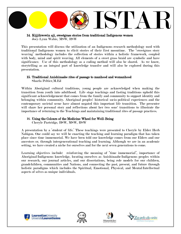

# 14. Kijjikwewin aji, sweetgrass stories from traditional Indigenous women Joey-Lynn Wabie, MSW, RSW

This presentation will discuss the utilization of an Indigenous research methodology used with traditional Indigenous women to elicit stories of their first moontime. The "sweetgrass story weaving" methodology includes the collection of stories within a holistic framework, coupled with body, mind and spirit weaving. All elements of a sweet grass braid are symbolic and have significance. Use of this methodology as a coding method will also be shared. As we know, storytelling as an integral part of knowledge transfer and will also be explored during this presentation.

# 15. Traditional Anishinaabe rites of passage to manhood and womanhood

Sharla Peltier,M.Ed

Within Aboriginal cultural traditions, young people are acknowledged when making the transition from youth into adulthood. Life stage teachings and fasting traditions uphold this significant acknowledgement that comes from the family and community to support identity and belonging within community. Aboriginal peoples' historical socio-political experiences and the contemporary societal scene have almost negated this important life transition. The presenter will share her personal story and reflections about her two sons' transitions to illustrate the importance of returning to the Teachings and maintaining traditional rites of passage practices.

# 16. Using the Colours of the Medicine Wheel for Well-Being

Cheryle Partridge, BSW, MSW, RSW

A presentation by a 'student of life.' These teachings were presented to Cheryle by Elder Herb Nabigon. One could say we will be enacting the teaching and learning paradigm that has taken place since time immemorial. We have been told our knowledge comes from our Elders and our ancestors or, through intergenerational teaching and learning. Although we are in an academic setting, we have created a niche for ourselves and for the next seven generations to come.

Learning objectives include: reinforcing the meaning of "time immemorial", importance of Aboriginal/Indigenous knowledge, locating ourselves as Anishinaabe/Indigenous peoples within our research, our journal articles, and our dissertations, being role models for our children, grandchildren, communities and Nations, and connecting the past, present, and future through holistic paradigms which includes the Spiritual, Emotional, Physical, and Mental/Intellectual aspects of selves as unique individuals.







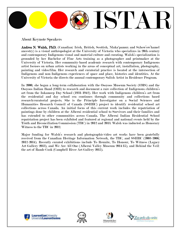

About Keynote Speakers

Andrea N. Walsh, PhD. (Canadian: Irish, British, Scottish, Nlaka'pamux and Sxhow'ow'hamel ancestry) is a visual anthropologist at the University of Victoria who specializes in 20th century and contemporary Indigenous visual and material culture and curating. Walsh's specialization is grounded by her Bachelor of Fine Arts training as a photographer and printmaker at the University of Victoria. Her community-based academic research with contemporary Indigenous artist focuses on urban artists working in the areas of conceptual art, installation, photography, painting and video/film. Her research and curatorial practice is located at the intersection of Indigenous and non-Indigenous experiences of space and place, histories and identities. At the University of Victoria she directs the annual contemporary Salish Artist in Residence Program.

In 2000, she began a long-term collaboration with the Osoyoos Museum Society (OMS) and the Osoyoos Indian Band (OIB) to research and document a rare collection of Indigenous children's art from the Inkameep Day School (1931-1942). Her work with Indigenous children's art from the residential and day school era continues through community and collections based research/curatorial projects. She is the Principle Investigator on a Social Sciences and Humanities Research Council of Canada (SSHRC) project to identify residential school art collections across Canada. An initial focus of this current work includes the repatriation of paintings done by children at the Alberni residential school to Survivors and their families and has extended to other communities across Canada. The Alberni Indian Residential School repatriation project has been exhibited and featured at regional and national events held by the Truth and Reconciliation Commission (TRC) in 2012 and 2013. Walsh was inducted as Honorary Witness to the TRC in 2012.

Major funding for Walsh's research and photographic/video art works have been gratefully received from the Canadian Heritage Information Network, the TRC, and SSHRC (2003-2006; 2012-2014). Recently curated exhibitions include To Reunite, To Honour, To Witness (Legacy Art Gallery 2013), and We Are All One (Alberni Valley Museum 2014/15), and Behind the Veil: the art of Rande Cook (Campbell River Art Gallery 2015).







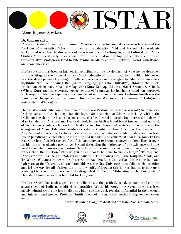

About Keynote Speakers

# Dr. Graham Smith

Professor Graham Smith is a prominent Māori educationalist and advocate who has been at the forefront of alternative Māori initiatives in the education field and beyond. His academic background is within the disciplines of Education, Social Anthropology and Cultural and Policy Studies. More specifically, his academic work has centred on developing theoretically informed transformative strategies related to intervening in Māori cultural, political, social, educational and economic crises.

Professor Smith has been an influential contributor to the development of what he has described in his writings as the 'twenty-five year Maori educational revolution, 1982 – 2007'. This period saw the development of a range of alternative educational strategies by Maori communities, beginning with Te Kohanga Reo (Maori Language pre-school initiative), through the Maori Immersion elementary school development (Kura Kaupapa Maori), Maori Secondary Schools (Whare Kura) and the emerging tertiary option of Wananga. He has had a 'hands-on' approach with respect to his participation and commitment with these initiatives. Professor Smith was the foundation chairperson of the Council for Te Whare Wānanga o Awanuiārangi: Indigenous university in Whakatāne.

He has also contributed on a broad front to the New Zealand education as a whole; he remains a leading voice in the challenge for the legitimate inclusion of Maori theorising within the traditional academy; he has lead a concentrated effort focused on producing increased numbers of Maori students at Master's and Doctoral level; he has built a broad-based international network of Indigenous scholars who work with Maori and his theoretical leadership has informed the emergence of Māori Education studies as a distinct entity within Education Faculties within New Zealand universities. Perhaps his most significant contribution to Maori education has been his preparedness to enact what he is arguing and not simply describe what should be done. In this regard he has often left the comfort of the mainstream to become engaged in front-line struggle. In his words, 'academics need to get beyond describing the pathology of our existence and they need to be able to answer the question "how have you personally contributed to making change?" rather than the question "what do you think should be done to make change?" To this end, Professor Smith has helped establish and taught in Te Kohanga Reo, Kura Kaupapa Maori, and Te Whare Wananga contexts. Professor Smith was Pro Vice Chancellor (Māori) for four and half years at the University of Auckland (this was the first University to establish such a position and led the way for all Universities to follow suit). Following this he was invited to take up a Visiting Chair as the Universitas 21 Distinguished Professor of Education at the University of British Columbia a position he filled for five years.

Professor Smith has made significant contributions to the political, social, economic and cultural advancement of Indigenous Māori communities. While his work over recent times has been mostly administrative he has published widely and his work remains influential in the national and international arenas. Professor Smith is one of the most influential Indigenous educators today.

http://hekakano.tki.org.nz/About-us/Our-team/Prof.-Graham-Smith







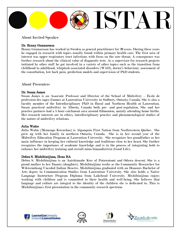

About Invited Speaker

# Dr. Ronny Gunnarsson

Ronny Gunnarsson has worked in Sweden as general practitioner for 20 years. During these years he engaged in research with topics usually found within primary health care. The first area of interest was upper respiratory tract infections with focus on the sore throat. A consequence was further research about the clinical value of diagnostic tests. As a supervisor for research projects initiated by other staff he got involved in a variety of other topics such as the transition from childhood to adulthood, whiplash-associated disorders (WAD), doctor's behaviour, assessment of the consultation, low back pain, prediction models and supervision of PhD students.

# About Presenters

# Dr. Susan James

Susan James is an Associate Professor and Director of the School of Midwifery – École de profession des sages-femmes at Laurentian University in Sudbury, Ontario, Canada. She is also a faculty member of the Interdisciplinary PhD in Rural and Northern Health at Laurentian. Susan practiced midwifery in Alberta, Canada both pre- and post-regulation. She and her practice partners had a 5 hour catchment area around Edmonton, mainly attending home births. Her research interests are in ethics, interdisciplinary practice and phenomenological studies of the nature of midwifery relations.

# Julia Wabie

Julia Wabie (Memengo Kwezehns) is Algonquin First Nation from Northwestern Quebec. She grew up with her family in northern Ontario, Canada. She is in her second year of the Midwifery Education Program at Laurentian University. She recognizes her grandfather as her main influence in keeping her cultural knowledge and traditions close to her heart. She further recognizes the importance of academic knowledge and is in the process of integrating both to enhance her midwifery training and overall mino bimaadiziwin (Good Life).

# Debra S. Mishibinijima, Hons BA

Debra S. Mishibinijima is an Anishinaabe Kwe of Potawatomi and Odawa descent. She is a proud mother to her Daanis (daughter). Mishibinijima works as the Community Researcher for Wikwemikong Unceded Indian Reserve. Mishibinijima graduated with an Honours Bachelor of Arts degree in Communication Studies from Laurentian University. She also holds a Native Language Instructors Program Diploma from Lakehead University. Mishibinijima enjoys working with children and is committed to their health and well-being. She believes that language and culture are integral to the identity of the children she is dedicated to. This is Mishibinijima's first presentation in the community research spectrum.







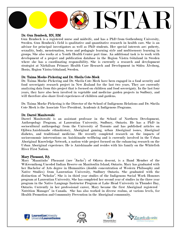

# Dr. Gun Rembeck, RN, RM

Gun Rembeck is a registered nurse and midwife, and has a PhD from Gothenburg University, Sweden. Gun Rembeck's field is qualitative and quantitative research in health care. She is an advisor for principal investigators as well as PhD students. Her special interests are: puberty, sexuality, body, menstruation, teens and pedagogic learning style and multisensory learning in groups. She also works at a Youth Health Center part time. An additional task is to work with development of a project and publication database in the Region Västra Götaland in Sweden where she has a coordinating responsibility. She is currently a research and development strategist at Närhälsan Primary Health Care Research and Development in Södra Älvsborg, Borås, Region Västra Götaland, Sweden.

### Dr. Taima Moeke-Pickering and Dr. Sheila Cote-Meek

Dr. Taima Moeke-Pickering and Dr. Sheila Cote-Meek have been engaged in a food security and food sovereignty research project in New Zealand for the last two years. They are currently analyzing data from this project that is focused on children and food sovereignty. In the last four years, they have also been involved in vegetable and medicine garden projects in Sudbury, and will therefore also share lived experiences of children and gardens.

Dr. Taima Moeke-Pickering is the Director of the School of Indigenous Relations and Dr. Sheila Cote-Meek is the Associate Vice-President, Academic & Indigenous Programs.

#### Dr. Darrel Manitowabi

Darrel Manitowabi is an assistant professor in the School of Northern Development, Anthropology Program, at Laurentian University, Sudbury, Ontario. He has a PhD in sociocultural anthropology from the University of Toronto and has published articles on Ojibwa/Anishinaabe ethnohistory, Aboriginal gaming, urban Aboriginal issues, Aboriginal diabetes, and traditional medicine. He recently completed research on the impacts of socioeconomic interventions on Anishinaabe wellbeing and is currently involved in the Urban Aboriginal Knowledge Network, a nation-wide project focused on the enhancing research on the Urban Aboriginal experience. He is Anishinaabe and resides with his family on the Whitefish River First Nation.

#### Mary Pheasant, BA

Mary "Maaniinhs" Pheasant (nee "Jacko") of Odawa descent, is a Band Member of the Wikwemikong Unceded Indian Reserve on Manitoulin Island, Ontario. Mary has graduated with her Bachelor of Arts degree in Humanities (double concentration of Western Philosophy and Native Studies) from Laurentian University, Sudbury Ontario. She graduated with the distinction of "Scholar". She is in third year studies of the Indigenous Social Work Honours program at Laurentian University. She has completed her second year of studies in the three year program in the Native Language Instructor Program at Lake Head University in Thunder Bay, Ontario. Currently in her professional career, Mary became the first Aboriginal registered ´ Nutrition Manager" in Canada. She has also worked in diverse realms, at various levels, for Health Promotion and Community Prevention in the Aboriginal community.







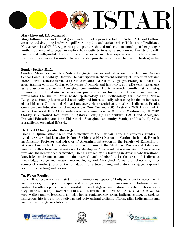

### Mary Pheasant, BA continued…

Mary followed her mother and grandmother's footsteps in the field of Native Arts and Culture, creating and designing beadwork, quillwork, regalia, and various other fields of the Traditional Native Arts. In 2005, Mary picked up the paintbrush, and under the mentorship of her younger brother, James Jacko, began to explore her creativity in acrylic and canvas. Her style is selftaught and self-guided. Her childhood memories and life experiences provide the main inspiration for her studio work. The art has also provided significant therapeutic healing in her life.

### Stanley Peltier, M.Ed

Stanley Peltier is currently a Native Language Teacher and Elder with the Rainbow District School Board in Sudbury, Ontario. He participated in the recent Ministry of Education revision process for the Ontario curricula in Native Studies and Native Languages. Stanley maintains his good standing with the College of Teachers of Ontario and has over twenty (20) years' experience as a classroom teacher in Aboriginal communities. He is currently enrolled at Nipissing University in the Master of education program where his course of study and research investigates the use of Anishinaabe epistemology and methodology for Teaching Native Languages. Stanley has travelled nationally and internationally advocating for the maintenance of Anishinaabe Culture and Native Languages. He presented at the World Indigenous Peoples Conference on Education on three occasions (New Zealand 2005; Australia 2008; Hawaii 2014) and at the world HIV/AIDS conferences in Vienna, Austria 2010 and Washington, DC 2012. Stanley is a trained facilitator in Ojibway Language and Culture, FASD and Aboriginal Prenatal Education, and is an Elder in the Aboriginal community. Stanley and his family value a traditional ecological lifestyle.

### Dr. Brent [Ahnungoonhs] Debassige

Brent is Ojibwe-Anishinaabe and a member of the Caribou Clan. He currently resides in London, Ontario but is originally from M'Chigeeng First Nation on Manitoulin Island. Brent is an Assistant Professor and Director of Aboriginal Education in the Faculty of Education at Western University. He is also the lead coordinator of the Master of Professional Education program with a focus on Educational Leadership in Aboriginal Education. As an Anishinaabe inni and Indigenous faculty member, Brent is guided by his learning in Anishinaabe traditional knowledge environments and by the research and scholarship in the areas of Indigenous Knowledge, Indigenous research methodologies, and Aboriginal Education. Collectively, these sources of knowledge provide the foundation for a decolonizing and critically engaged approach used in his teaching and research.

### Dr. Karyn Recollet

Karyn Recollet's work is situated in the intersectional spaces of Indigenous performance, youth and diaspora, hip hop culture specifically Indigenous hip hop feminism, and Indigenous new media. Recollet is particularly interested in new Indigeneities produced in urban hub spaces as they shape solidarity movements and social activism. Her forthcoming book 'We survived we crow-walked and we learned to fly': Hip hop as contemporary urban Indigenous thought' explores Indigenous hip hop culture's activism and socio/cultural critique, offering alter Indigeneities and manifesting Indigenous futurity.







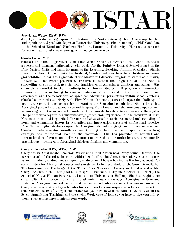# j ISTAR

# Joey-Lynn Wabie, MSW, RSW

Joey-Lynn Wabie is Algonquin First Nation from Northwestern Quebec. She completed her undergraduate and graduate degree at Laurentian University. She is currently a PhD Candidate in the School of Rural and Northern Health at Laurentian University. Her area of research focuses on traditional rites of passage with Indigenous women.

# Sharla Peltier,M.Ed

Sharla is from the Chippewas of Rama First Nation, Ontario, a member of the Loon Clan, and is a speech and language pathologist. She works for the Rainbow District School Board in the First Nation, Métis and Inuit Program as the Learning, Teaching Cultural Specialist. Sharla lives in Sudbury, Ontario with her husband, Stanley and they have four children and seven grandchildren. Sharla is a graduate of the Master of Education program of studies at Nipissing University. Her recent program of research illustrated the pragmatics of First Nations storytelling as she investigated the oral tradition with Anishinabe children and Elders. She currently is enrolled in the Interdisciplinary Human Studies PhD program at Laurentian University and is exploring Indigenous traditions of educational and cultural thought and experiences and the negotiation of space for Aboriginal perspectives within school contexts. Sharla has worked exclusively with First Nations for many years and enjoys the challenge of making speech and language services relevant to the Aboriginal population. She believes that Aboriginal people have a sacred voice and language from Creator and she promotes empowerment by working with the individual, family, and community to celebrate and enhance these gifts. Her publications capture her understandings gained from experience. She is cognizant of First Nations cultural and linguistic differences and advocates for consideration and understanding of home and community factors in evaluation and intervention aspects of professional practice. First Nation English dialects impact the Aboriginal student's language and literacy learning and Sharla provides educator consultation and training to facilitate use of appropriate teaching strategies and educational tools in the classroom. She has presented at national and international conferences and delivered numerous workshops for professionals and community practitioners working with Aboriginal children, families and communities.

### Cheryle Partridge, BSW, MSW, RSW

Cheryle is an Anishinaabe-Kwe from Wasauksing First Nation near Parry Sound, Ontario. She is very proud of the roles she plays within her family: daughter, sister, niece, cousin, auntie, partner, mother,grandmother, and great-grandmother. Cheryle has been a life-long advocate for social justice for Aboriginal peoples and she strives to live and abide by the Seven Grandfather Teachings and the Teachings of the Three Fires Midewiwin Society in her day-to-day life. Cheryle teaches in the Aboriginal culture-specific School of Indigenous Relations, formerly the School of Native Human Services, at Laurentian University in Sudbury. She has taught there since 1999. Her interests lie in traditional Anishinaabe knowledge, Aboriginal culture and tradition, Aboriginal mental health, and residential schools (as a second generation survivor). Cheryle believes that the key attributes for social workers are respect for others and respect for self. She emphasizes: "Being in this profession, you have to walk the talk. If you talk about the Seven Grandfather Teachings and the Social Work Code of Ethics, you have to live your life by them. Your actions have to mirror your words."







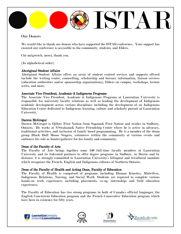

# Our Donors

We would like to thank our donors who have supported the ISTAR conference. Your support has ensured our conference is accessible to the community, students, and Elders.

Chi-miigwetch, merci, thank you.

(In alphabetical order)

### Aboriginal Student Affairs

Aboriginal Student Affairs offers an array of student centred services and supports offered include the writing centre, counselling, scholarship and bursary information, liaison services (education authorities and/or sponsorship organizations), Elders on campus, workshops, lecture series, and more.

### Associate Vice-President, Academic & Indigenous Programs

The Associate Vice-President, Academic & Indigenous Programs at Laurentian University is responsible for university faculty relations as well as leading the development of Indigenous academic development across various disciplines including the development of an Indigenous Education Centre dedicated to Indigenous learning, culture and scholarly pursuit at Laurentian University.

### Darren McGregor

Darren McGregor is Ojibwe First Nation from Sagamok First Nation and resides in Sudbury, Ontario. He works at N'Swakamok Native Friendship Centre where he is active in advocacy, traditional activities, and inclusion of family based programming. He is a member of the drum group Black Bull Moose Singers, volunteers within the community at various events and embraces his role as hunter/gatherer for his family and community.

### Dean of the Faculty of Arts

The Faculty of Arts brings together some 140 full-time faculty members at Laurentian University and its federated partners to offer degree programs in Sudbury, in Barrie and by distance. It is strongly committed to Laurentian University's bilingual and tricultural mandate which recognizes the French, English and Indigenous cultures of Northern Ontario.

#### Dean of the Faculty of Health and Acting Dean, Faculty of Education

The Faculty of Health is comprised of programs including Human Kinetics, Midwifery, Indigenous Relations, Nursing, and Social Work. Students are required to complete various hands-on work experiences including placements, co-op, internships and field education experiences.

The Faculty of Education has two strong programs in both of Canada's official languages: the English Concurrent Education program and the French Consecutive Education program which have been in existence for fifty years.







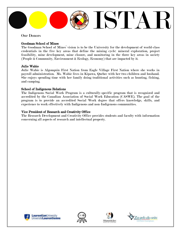

# Our Donors

# Goodman School of Mines

The Goodman School of Mines' vision is to be the University for the development of world-class credentials in the five key areas that define the mining cycle: mineral exploration, project feasibility, mine development, mine closure, and monitoring in the three key areas in society (People & Community, Environment & Ecology, Economy) that are impacted by it.

# Julie Wabie

Julie Wabie is Algonquin First Nation from Eagle Village First Nation where she works in payroll administration. Ms. Wabie lives in Kipawa, Quebec with her two children and husband. She enjoys spending time with her family doing traditional activities such as hunting, fishing, and camping.

### School of Indigenous Relations

The Indigenous Social Work Program is a culturally-specific program that is recognized and accredited by the Canadian Association of Social Work Education (CASWE). The goal of the program is to provide an accredited Social Work degree that offers knowledge, skills, and experience to work effectively with Indigenous and non-Indigenous communities.

### Vice President of Research and Creativity Office

The Research Development and Creativity Office provides students and faculty with information concerning all aspects of research and intellectual property.







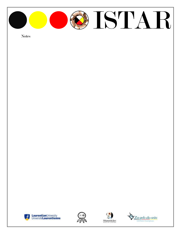

Notes